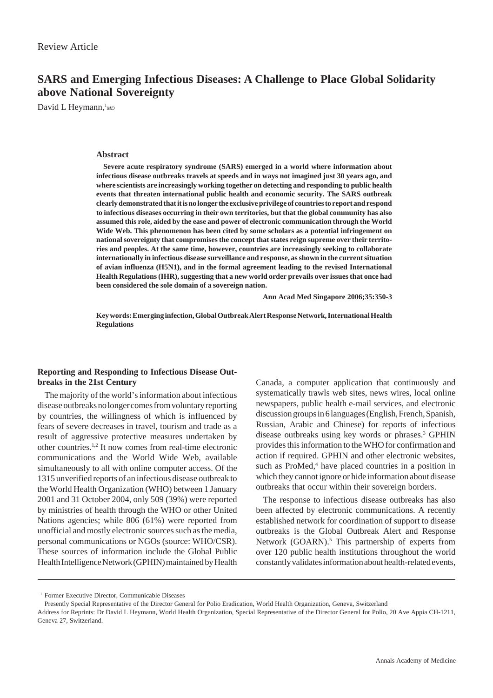# **SARS and Emerging Infectious Diseases: A Challenge to Place Global Solidarity above National Sovereignty**

David L Heymann, MD

## **Abstract**

**Severe acute respiratory syndrome (SARS) emerged in a world where information about infectious disease outbreaks travels at speeds and in ways not imagined just 30 years ago, and where scientists are increasingly working together on detecting and responding to public health events that threaten international public health and economic security. The SARS outbreak clearly demonstrated that it is no longer the exclusive privilege of countries to report and respond to infectious diseases occurring in their own territories, but that the global community has also assumed this role, aided by the ease and power of electronic communication through the World Wide Web. This phenomenon has been cited by some scholars as a potential infringement on national sovereignty that compromises the concept that states reign supreme over their territories and peoples. At the same time, however, countries are increasingly seeking to collaborate internationally in infectious disease surveillance and response, as shown in the current situation of avian influenza (H5N1), and in the formal agreement leading to the revised International Health Regulations (IHR), suggesting that a new world order prevails over issues that once had been considered the sole domain of a sovereign nation.**

**Ann Acad Med Singapore 2006;35:350-3**

**Key words: Emerging infection, Global Outbreak Alert Response Network, International Health Regulations**

## **Reporting and Responding to Infectious Disease Outbreaks in the 21st Century**

The majority of the world's information about infectious disease outbreaks no longer comes from voluntary reporting by countries, the willingness of which is influenced by fears of severe decreases in travel, tourism and trade as a result of aggressive protective measures undertaken by other countries.1,2 It now comes from real-time electronic communications and the World Wide Web, available simultaneously to all with online computer access. Of the 1315 unverified reports of an infectious disease outbreak to the World Health Organization (WHO) between 1 January 2001 and 31 October 2004, only 509 (39%) were reported by ministries of health through the WHO or other United Nations agencies; while 806 (61%) were reported from unofficial and mostly electronic sources such as the media, personal communications or NGOs (source: WHO/CSR). These sources of information include the Global Public Health Intelligence Network (GPHIN) maintained by Health Canada, a computer application that continuously and systematically trawls web sites, news wires, local online newspapers, public health e-mail services, and electronic discussion groups in 6 languages (English, French, Spanish, Russian, Arabic and Chinese) for reports of infectious disease outbreaks using key words or phrases.3 GPHIN provides this information to the WHO for confirmation and action if required. GPHIN and other electronic websites, such as ProMed,<sup>4</sup> have placed countries in a position in which they cannot ignore or hide information about disease outbreaks that occur within their sovereign borders.

The response to infectious disease outbreaks has also been affected by electronic communications. A recently established network for coordination of support to disease outbreaks is the Global Outbreak Alert and Response Network (GOARN).<sup>5</sup> This partnership of experts from over 120 public health institutions throughout the world constantly validates information about health-related events,

<sup>&</sup>lt;sup>1</sup> Former Executive Director, Communicable Diseases

Presently Special Representative of the Director General for Polio Eradication, World Health Organization, Geneva, Switzerland

Address for Reprints: Dr David L Heymann, World Health Organization, Special Representative of the Director General for Polio, 20 Ave Appia CH-1211, Geneva 27, Switzerland.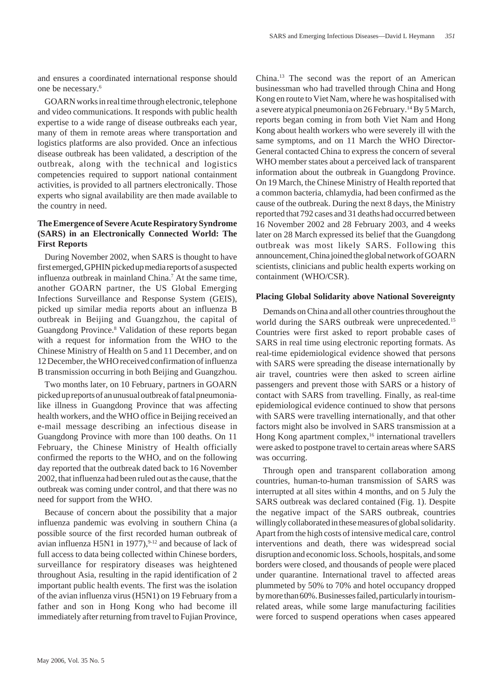and ensures a coordinated international response should one be necessary.6

GOARN works in real time through electronic, telephone and video communications. It responds with public health expertise to a wide range of disease outbreaks each year, many of them in remote areas where transportation and logistics platforms are also provided. Once an infectious disease outbreak has been validated, a description of the outbreak, along with the technical and logistics competencies required to support national containment activities, is provided to all partners electronically. Those experts who signal availability are then made available to the country in need.

## **The Emergence of Severe Acute Respiratory Syndrome (SARS) in an Electronically Connected World: The First Reports**

During November 2002, when SARS is thought to have first emerged, GPHIN picked up media reports of a suspected influenza outbreak in mainland China.7 At the same time, another GOARN partner, the US Global Emerging Infections Surveillance and Response System (GEIS), picked up similar media reports about an influenza B outbreak in Beijing and Guangzhou, the capital of Guangdong Province.<sup>8</sup> Validation of these reports began with a request for information from the WHO to the Chinese Ministry of Health on 5 and 11 December, and on 12 December, the WHO received confirmation of influenza B transmission occurring in both Beijing and Guangzhou.

Two months later, on 10 February, partners in GOARN picked up reports of an unusual outbreak of fatal pneumonialike illness in Guangdong Province that was affecting health workers, and the WHO office in Beijing received an e-mail message describing an infectious disease in Guangdong Province with more than 100 deaths. On 11 February, the Chinese Ministry of Health officially confirmed the reports to the WHO, and on the following day reported that the outbreak dated back to 16 November 2002, that influenza had been ruled out as the cause, that the outbreak was coming under control, and that there was no need for support from the WHO.

Because of concern about the possibility that a major influenza pandemic was evolving in southern China (a possible source of the first recorded human outbreak of avian influenza H5N1 in 1977), $9-12$  and because of lack of full access to data being collected within Chinese borders, surveillance for respiratory diseases was heightened throughout Asia, resulting in the rapid identification of 2 important public health events. The first was the isolation of the avian influenza virus (H5N1) on 19 February from a father and son in Hong Kong who had become ill immediately after returning from travel to Fujian Province, China.13 The second was the report of an American businessman who had travelled through China and Hong Kong en route to Viet Nam, where he was hospitalised with a severe atypical pneumonia on 26 February.14 By 5 March, reports began coming in from both Viet Nam and Hong Kong about health workers who were severely ill with the same symptoms, and on 11 March the WHO Director-General contacted China to express the concern of several WHO member states about a perceived lack of transparent information about the outbreak in Guangdong Province. On 19 March, the Chinese Ministry of Health reported that a common bacteria, chlamydia, had been confirmed as the cause of the outbreak. During the next 8 days, the Ministry reported that 792 cases and 31 deaths had occurred between 16 November 2002 and 28 February 2003, and 4 weeks later on 28 March expressed its belief that the Guangdong outbreak was most likely SARS. Following this announcement, China joined the global network of GOARN scientists, clinicians and public health experts working on containment (WHO/CSR).

## **Placing Global Solidarity above National Sovereignty**

Demands on China and all other countries throughout the world during the SARS outbreak were unprecedented.<sup>15</sup> Countries were first asked to report probable cases of SARS in real time using electronic reporting formats. As real-time epidemiological evidence showed that persons with SARS were spreading the disease internationally by air travel, countries were then asked to screen airline passengers and prevent those with SARS or a history of contact with SARS from travelling. Finally, as real-time epidemiological evidence continued to show that persons with SARS were travelling internationally, and that other factors might also be involved in SARS transmission at a Hong Kong apartment complex,<sup>16</sup> international travellers were asked to postpone travel to certain areas where SARS was occurring.

Through open and transparent collaboration among countries, human-to-human transmission of SARS was interrupted at all sites within 4 months, and on 5 July the SARS outbreak was declared contained (Fig. 1). Despite the negative impact of the SARS outbreak, countries willingly collaborated in these measures of global solidarity. Apart from the high costs of intensive medical care, control interventions and death, there was widespread social disruption and economic loss. Schools, hospitals, and some borders were closed, and thousands of people were placed under quarantine. International travel to affected areas plummeted by 50% to 70% and hotel occupancy dropped by more than 60%. Businesses failed, particularly in tourismrelated areas, while some large manufacturing facilities were forced to suspend operations when cases appeared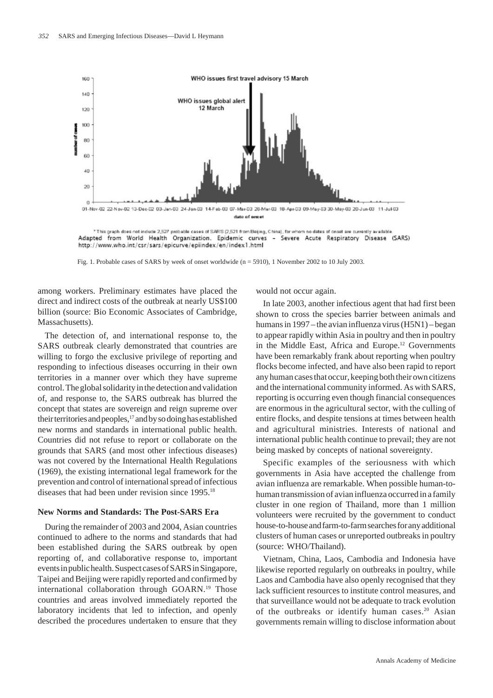

Adapted from World Health Organization. Epidemic curves - Severe Acute Respiratory Disease (SARS) http://www.who.int/csr/sars/epicurve/epiindex/en/index1.html

Fig. 1. Probable cases of SARS by week of onset worldwide (n = 5910), 1 November 2002 to 10 July 2003.

among workers. Preliminary estimates have placed the direct and indirect costs of the outbreak at nearly US\$100 billion (source: Bio Economic Associates of Cambridge, Massachusetts).

The detection of, and international response to, the SARS outbreak clearly demonstrated that countries are willing to forgo the exclusive privilege of reporting and responding to infectious diseases occurring in their own territories in a manner over which they have supreme control. The global solidarity in the detection and validation of, and response to, the SARS outbreak has blurred the concept that states are sovereign and reign supreme over their territories and peoples,<sup>17</sup> and by so doing has established new norms and standards in international public health. Countries did not refuse to report or collaborate on the grounds that SARS (and most other infectious diseases) was not covered by the International Health Regulations (1969), the existing international legal framework for the prevention and control of international spread of infectious diseases that had been under revision since 1995.18

### **New Norms and Standards: The Post-SARS Era**

During the remainder of 2003 and 2004, Asian countries continued to adhere to the norms and standards that had been established during the SARS outbreak by open reporting of, and collaborative response to, important events in public health. Suspect cases of SARS in Singapore, Taipei and Beijing were rapidly reported and confirmed by international collaboration through GOARN.<sup>19</sup> Those countries and areas involved immediately reported the laboratory incidents that led to infection, and openly described the procedures undertaken to ensure that they would not occur again.

In late 2003, another infectious agent that had first been shown to cross the species barrier between animals and humans in 1997 – the avian influenza virus (H5N1) – began to appear rapidly within Asia in poultry and then in poultry in the Middle East, Africa and Europe.12 Governments have been remarkably frank about reporting when poultry flocks become infected, and have also been rapid to report any human cases that occur, keeping both their own citizens and the international community informed. As with SARS, reporting is occurring even though financial consequences are enormous in the agricultural sector, with the culling of entire flocks, and despite tensions at times between health and agricultural ministries. Interests of national and international public health continue to prevail; they are not being masked by concepts of national sovereignty.

Specific examples of the seriousness with which governments in Asia have accepted the challenge from avian influenza are remarkable. When possible human-tohuman transmission of avian influenza occurred in a family cluster in one region of Thailand, more than 1 million volunteers were recruited by the government to conduct house-to-house and farm-to-farm searches for any additional clusters of human cases or unreported outbreaks in poultry (source: WHO/Thailand).

Vietnam, China, Laos, Cambodia and Indonesia have likewise reported regularly on outbreaks in poultry, while Laos and Cambodia have also openly recognised that they lack sufficient resources to institute control measures, and that surveillance would not be adequate to track evolution of the outbreaks or identify human cases.<sup>20</sup> Asian governments remain willing to disclose information about